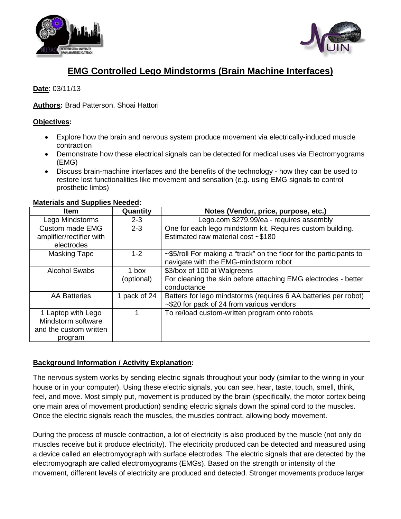



# **EMG Controlled Lego Mindstorms (Brain Machine Interfaces)**

## **Date**: 03/11/13

### **Authors:** Brad Patterson, Shoai Hattori

#### **Objectives :**

- Explore how the brain and nervous system produce movement via electrically-induced muscle contraction
- Demonstrate how these electrical signals can be detected for medical uses via Electromyograms (EMG)
- Discuss brain-machine interfaces and the benefits of the technology how they can be used to restore lost functionalities like movement and sensation (e.g. using EMG signals to control prosthetic limbs)

| <b>Item</b>                                                                   | Quantity            | Notes (Vendor, price, purpose, etc.)                                                                               |
|-------------------------------------------------------------------------------|---------------------|--------------------------------------------------------------------------------------------------------------------|
| Lego Mindstorms                                                               | $2 - 3$             | Lego.com \$279.99/ea - requires assembly                                                                           |
| <b>Custom made EMG</b><br>amplifier/rectifier with<br>electrodes              | $2 - 3$             | One for each lego mindstorm kit. Requires custom building.<br>Estimated raw material cost ~\$180                   |
| <b>Masking Tape</b>                                                           | $1 - 2$             | $\sim$ \$5/roll For making a "track" on the floor for the participants to<br>navigate with the EMG-mindstorm robot |
| <b>Alcohol Swabs</b>                                                          | 1 box<br>(optional) | \$3/box of 100 at Walgreens<br>For cleaning the skin before attaching EMG electrodes - better<br>conductance       |
| <b>AA Batteries</b>                                                           | 1 pack of 24        | Batters for lego mindstorms (requires 6 AA batteries per robot)<br>~\$20 for pack of 24 from various vendors       |
| 1 Laptop with Lego<br>Mindstorm software<br>and the custom written<br>program |                     | To re/load custom-written program onto robots                                                                      |

# **Materials and Supplies Needed :**

# **Background Information / Activity Explanation :**

The nervous system works by sending electric signals throughout your body (similar to the wiring in your house or in your computer). Using these electric signals, you can see, hear, taste, touch, smell, think, feel, and move. Most simply put, movement is produced by the brain (specifically, the motor cortex being one main area of movement production) sending electric signals down the spinal cord to the muscles. Once the electric signals reach the muscles, the muscles contract, allowing body movement.

During the process of muscle contraction, a lot of electricity is also produced by the muscle (not only do muscles receive but it produce electricity). The electricity produced can be detected and measured using a device called an electromyograph with surface electrodes. The electric signals that are detected by the electromyograph are called electromyograms (EMGs). Based on the strength or intensity of the movement, different levels of electricity are produced and detected. Stronger movements produce larger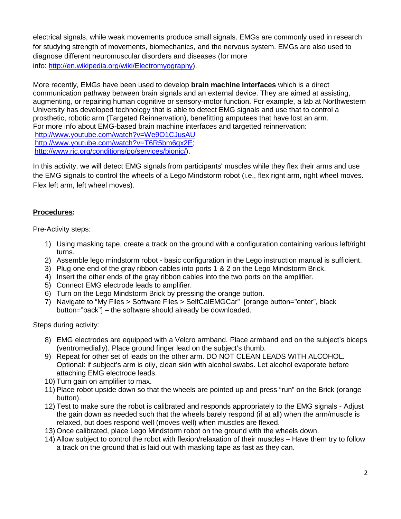electrical signals, while weak movements produce small signals. EMGs are commonly used in research for studying strength of movements, biomechanics, and the nervous system. EMGs are also used to diagnose different neuromuscular disorders and diseases (for more info: [http://en.wikipedia.org/wiki/Electromyography\)](http://en.wikipedia.org/wiki/Electromyography).

More recently, EMGs have been used to develop **brain machine interfaces** which is a direct communication pathway between brain signals and an external device. They are aimed at assisting, augmenting, or repairing human cognitive or sensory-motor function. For example, a lab at Northwestern University has developed technology that is able to detect EMG signals and use that to control a prosthetic, robotic arm (Targeted Reinnervation), benefitting amputees that have lost an arm. For more info about EMG-based brain machine interfaces and targetted reinnervation: <http://www.youtube.com/watch?v=We9O1CJusAU> [http://www.youtube.com/watch?v=T6R5bm6qx2E;](http://www.youtube.com/watch?v=T6R5bm6qx2E) [http://www.ric.org/conditions/po/services/bionic/\)](http://www.ric.org/conditions/po/services/bionic/).

In this activity, we will detect EMG signals from participants' muscles while they flex their arms and use the EMG signals to control the wheels of a Lego Mindstorm robot (i.e., flex right arm, right wheel moves. Flex left arm, left wheel moves).

# **Procedures:**

Pre-Activity steps:

- 1) Using masking tape, create a track on the ground with a configuration containing various left/right turns.
- 2) Assemble lego mindstorm robot basic configuration in the Lego instruction manual is sufficient.
- 3) Plug one end of the gray ribbon cables into ports 1 & 2 on the Lego Mindstorm Brick.
- 4) Insert the other ends of the gray ribbon cables into the two ports on the amplifier.
- 5) Connect EMG electrode leads to amplifier.
- 6) Turn on the Lego Mindstorm Brick by pressing the orange button.
- 7) Navigate to "My Files > Software Files > SelfCalEMGCar" [orange button="enter", black button="back"] – the software should already be downloaded.

Steps during activity:

- 8) EMG electrodes are equipped with a Velcro armband. Place armband end on the subject's biceps (ventromedially). Place ground finger lead on the subject's thumb.
- 9) Repeat for other set of leads on the other arm. DO NOT CLEAN LEADS WITH ALCOHOL. Optional: if subject's arm is oily, clean skin with alcohol swabs. Let alcohol evaporate before attaching EMG electrode leads.
- 10) Turn gain on amplifier to max.
- 11) Place robot upside down so that the wheels are pointed up and press "run" on the Brick (orange button).
- 12) Test to make sure the robot is calibrated and responds appropriately to the EMG signals Adjust the gain down as needed such that the wheels barely respond (if at all) when the arm/muscle is relaxed, but does respond well (moves well) when muscles are flexed.
- 13) Once calibrated, place Lego Mindstorm robot on the ground with the wheels down.
- 14) Allow subject to control the robot with flexion/relaxation of their muscles Have them try to follow a track on the ground that is laid out with masking tape as fast as they can.